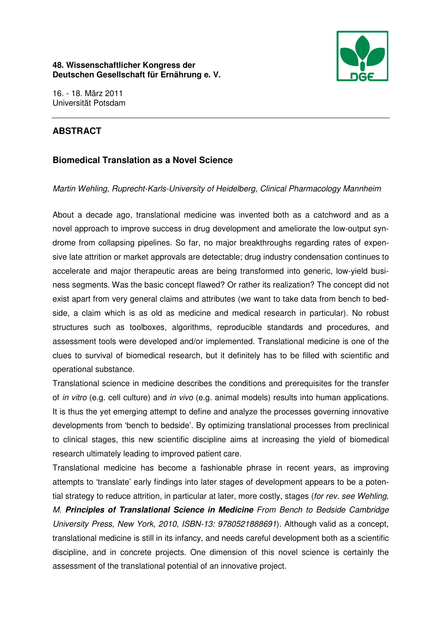

16. - 18. März 2011 Universität Potsdam

# **ABSTRACT**

## **Biomedical Translation as a Novel Science**

## Martin Wehling, Ruprecht-Karls-University of Heidelberg, Clinical Pharmacology Mannheim

About a decade ago, translational medicine was invented both as a catchword and as a novel approach to improve success in drug development and ameliorate the low-output syndrome from collapsing pipelines. So far, no major breakthroughs regarding rates of expensive late attrition or market approvals are detectable; drug industry condensation continues to accelerate and major therapeutic areas are being transformed into generic, low-yield business segments. Was the basic concept flawed? Or rather its realization? The concept did not exist apart from very general claims and attributes (we want to take data from bench to bedside, a claim which is as old as medicine and medical research in particular). No robust structures such as toolboxes, algorithms, reproducible standards and procedures, and assessment tools were developed and/or implemented. Translational medicine is one of the clues to survival of biomedical research, but it definitely has to be filled with scientific and operational substance.

Translational science in medicine describes the conditions and prerequisites for the transfer of in vitro (e.g. cell culture) and in vivo (e.g. animal models) results into human applications. It is thus the yet emerging attempt to define and analyze the processes governing innovative developments from 'bench to bedside'. By optimizing translational processes from preclinical to clinical stages, this new scientific discipline aims at increasing the yield of biomedical research ultimately leading to improved patient care.

Translational medicine has become a fashionable phrase in recent years, as improving attempts to 'translate' early findings into later stages of development appears to be a potential strategy to reduce attrition, in particular at later, more costly, stages (for rev. see Wehling,

M. **Principles of Translational Science in Medicine** From Bench to Bedside Cambridge University Press, New York, 2010, ISBN-13: 9780521888691). Although valid as a concept, translational medicine is still in its infancy, and needs careful development both as a scientific discipline, and in concrete projects. One dimension of this novel science is certainly the assessment of the translational potential of an innovative project.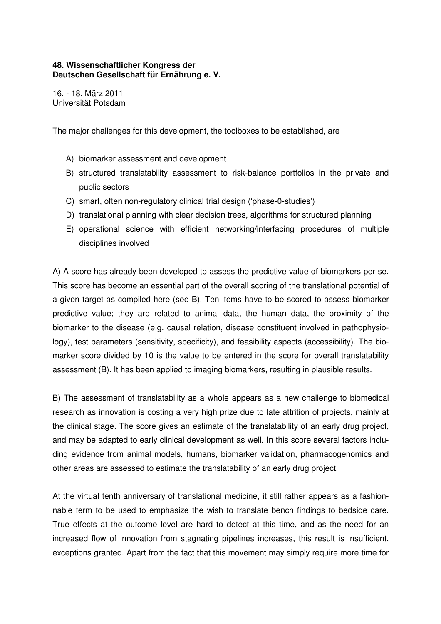### **48. Wissenschaftlicher Kongress der Deutschen Gesellschaft für Ernährung e. V.**

16. - 18. März 2011 Universität Potsdam

The major challenges for this development, the toolboxes to be established, are

- A) biomarker assessment and development
- B) structured translatability assessment to risk-balance portfolios in the private and public sectors
- C) smart, often non-regulatory clinical trial design ('phase-0-studies')
- D) translational planning with clear decision trees, algorithms for structured planning
- E) operational science with efficient networking/interfacing procedures of multiple disciplines involved

A) A score has already been developed to assess the predictive value of biomarkers per se. This score has become an essential part of the overall scoring of the translational potential of a given target as compiled here (see B). Ten items have to be scored to assess biomarker predictive value; they are related to animal data, the human data, the proximity of the biomarker to the disease (e.g. causal relation, disease constituent involved in pathophysiology), test parameters (sensitivity, specificity), and feasibility aspects (accessibility). The biomarker score divided by 10 is the value to be entered in the score for overall translatability assessment (B). It has been applied to imaging biomarkers, resulting in plausible results.

B) The assessment of translatability as a whole appears as a new challenge to biomedical research as innovation is costing a very high prize due to late attrition of projects, mainly at the clinical stage. The score gives an estimate of the translatability of an early drug project, and may be adapted to early clinical development as well. In this score several factors including evidence from animal models, humans, biomarker validation, pharmacogenomics and other areas are assessed to estimate the translatability of an early drug project.

At the virtual tenth anniversary of translational medicine, it still rather appears as a fashionnable term to be used to emphasize the wish to translate bench findings to bedside care. True effects at the outcome level are hard to detect at this time, and as the need for an increased flow of innovation from stagnating pipelines increases, this result is insufficient, exceptions granted. Apart from the fact that this movement may simply require more time for